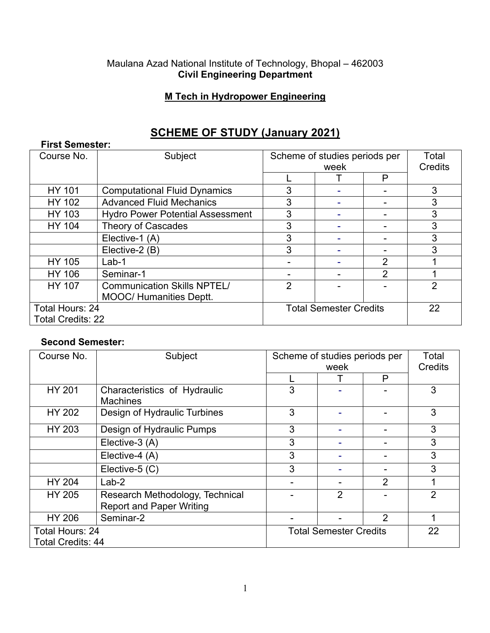#### Maulana Azad National Institute of Technology, Bhopal – 462003 **Civil Engineering Department**

## **M Tech in Hydropower Engineering**

# **SCHEME OF STUDY (January 2021)**

| <b>First Semester:</b>   |                                         |                               |  |                |                |  |
|--------------------------|-----------------------------------------|-------------------------------|--|----------------|----------------|--|
| Course No.               | Subject                                 | Scheme of studies periods per |  |                | Total          |  |
|                          |                                         | week                          |  | Credits        |                |  |
|                          |                                         |                               |  | P              |                |  |
| <b>HY 101</b>            | <b>Computational Fluid Dynamics</b>     | 3                             |  |                | 3              |  |
| <b>HY 102</b>            | <b>Advanced Fluid Mechanics</b>         | 3                             |  |                | 3              |  |
| HY 103                   | <b>Hydro Power Potential Assessment</b> | 3                             |  |                | 3              |  |
| <b>HY 104</b>            | <b>Theory of Cascades</b>               | 3                             |  |                | 3              |  |
|                          | Elective-1 (A)                          | 3                             |  |                | 3              |  |
|                          | Elective-2 (B)                          | 3                             |  |                | 3              |  |
| <b>HY 105</b>            | $Lab-1$                                 |                               |  | 2              |                |  |
| <b>HY 106</b>            | Seminar-1                               |                               |  | $\overline{2}$ |                |  |
| <b>HY 107</b>            | <b>Communication Skills NPTEL/</b>      | 2                             |  |                | $\overline{2}$ |  |
|                          | <b>MOOC/ Humanities Deptt.</b>          |                               |  |                |                |  |
| Total Hours: 24          |                                         | <b>Total Semester Credits</b> |  |                | 22             |  |
| <b>Total Credits: 22</b> |                                         |                               |  |                |                |  |

### **Second Semester:**

| Course No.                                  | Subject                                                            | Scheme of studies periods per<br>week |   | Total<br>Credits |                |
|---------------------------------------------|--------------------------------------------------------------------|---------------------------------------|---|------------------|----------------|
|                                             |                                                                    |                                       |   | P                |                |
| <b>HY 201</b>                               | Characteristics of Hydraulic<br><b>Machines</b>                    | 3                                     |   |                  | 3              |
| <b>HY 202</b>                               | Design of Hydraulic Turbines                                       | 3                                     |   |                  | 3              |
| HY 203                                      | Design of Hydraulic Pumps                                          | 3                                     |   |                  | 3              |
|                                             | Elective-3 (A)                                                     | 3                                     |   |                  | 3              |
|                                             | Elective-4 (A)                                                     | 3                                     |   |                  | 3              |
|                                             | Elective-5 (C)                                                     | 3                                     |   |                  | 3              |
| <b>HY 204</b>                               | $Lab-2$                                                            |                                       |   | 2                |                |
| <b>HY 205</b>                               | Research Methodology, Technical<br><b>Report and Paper Writing</b> |                                       | 2 |                  | $\overline{2}$ |
| <b>HY 206</b>                               | Seminar-2                                                          |                                       |   | $\overline{2}$   |                |
| Total Hours: 24<br><b>Total Credits: 44</b> |                                                                    | <b>Total Semester Credits</b>         |   |                  | 22             |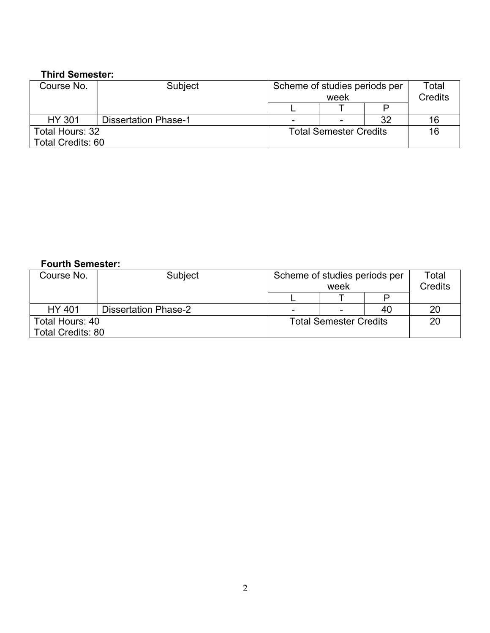## **Third Semester:**

| Course No.               | Subject                     | Scheme of studies periods per<br>week |  |    | Total<br><b>Credits</b> |
|--------------------------|-----------------------------|---------------------------------------|--|----|-------------------------|
|                          |                             |                                       |  |    |                         |
| <b>HY 301</b>            | <b>Dissertation Phase-1</b> | -                                     |  | 32 | 16                      |
| Total Hours: 32          |                             | <b>Total Semester Credits</b>         |  |    | 16                      |
| <b>Total Credits: 60</b> |                             |                                       |  |    |                         |

#### **Fourth Semester:**

| Course No.               | Subject                     | Scheme of studies periods per<br>week |  |    | Total<br><b>Credits</b> |
|--------------------------|-----------------------------|---------------------------------------|--|----|-------------------------|
|                          |                             |                                       |  |    |                         |
| <b>HY 401</b>            | <b>Dissertation Phase-2</b> | -                                     |  | 40 | 20                      |
| Total Hours: 40          |                             | <b>Total Semester Credits</b>         |  |    | 20                      |
| <b>Total Credits: 80</b> |                             |                                       |  |    |                         |